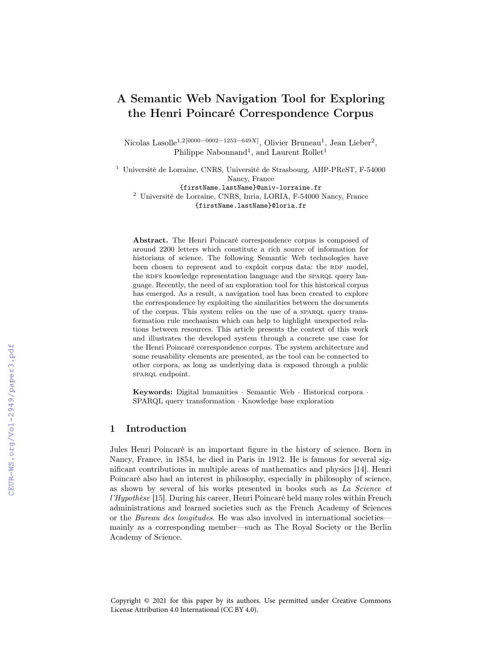# A Semantic Web Navigation Tool for Exploring the Henri Poincaré Correspondence Corpus

Nicolas Lasolle<sup>1,2[0000–0002–1253–649X]</sup>, Olivier Bruneau<sup>1</sup>, Jean Lieber<sup>2</sup>, Philippe Nabonnand<sup>1</sup>, and Laurent Rollet<sup>1</sup>

<sup>1</sup> Université de Lorraine, CNRS, Université de Strasbourg, AHP-PReST, F-54000 Nancy, France {firstName.lastName}@univ-lorraine.fr <sup>2</sup> Université de Lorraine, CNRS, Inria, LORIA, F-54000 Nancy, France {firstName.lastName}@loria.fr

Abstract. The Henri Poincaré correspondence corpus is composed of around 2200 letters which constitute a rich source of information for historians of science. The following Semantic Web technologies have been chosen to represent and to exploit corpus data: the RDF model, the RDFS knowledge representation language and the SPARQL query language. Recently, the need of an exploration tool for this historical corpus has emerged. As a result, a navigation tool has been created to explore the correspondence by exploiting the similarities between the documents of the corpus. This system relies on the use of a SPARQL query transformation rule mechanism which can help to highlight unexpected relations between resources. This article presents the context of this work and illustrates the developed system through a concrete use case for the Henri Poincaré correspondence corpus. The system architecture and some reusability elements are presented, as the tool can be connected to other corpora, as long as underlying data is exposed through a public sparque endpoint.

Keywords: Digital humanities · Semantic Web · Historical corpora · SPARQL query transformation · Knowledge base exploration

# 1 Introduction

Jules Henri Poincaré is an important figure in the history of science. Born in Nancy, France, in 1854, he died in Paris in 1912. He is famous for several significant contributions in multiple areas of mathematics and physics [14]. Henri Poincaré also had an interest in philosophy, especially in philosophy of science, as shown by several of his works presented in books such as La Science et l'Hypothèse [15]. During his career, Henri Poincaré held many roles within French administrations and learned societies such as the French Academy of Sciences or the Bureau des longitudes. He was also involved in international societies mainly as a corresponding member—such as The Royal Society or the Berlin Academy of Science.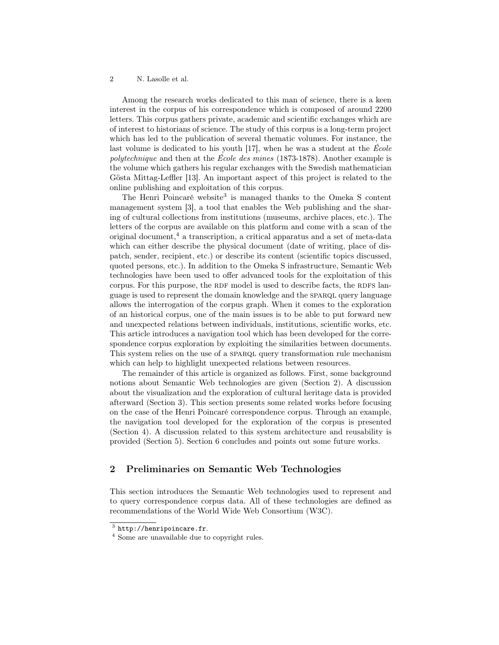Among the research works dedicated to this man of science, there is a keen interest in the corpus of his correspondence which is composed of around 2200 letters. This corpus gathers private, academic and scientific exchanges which are of interest to historians of science. The study of this corpus is a long-term project which has led to the publication of several thematic volumes. For instance, the last volume is dedicated to his youth [17], when he was a student at the  $\acute{E}cole$ polytechnique and then at the École des mines (1873-1878). Another example is the volume which gathers his regular exchanges with the Swedish mathematician Gösta Mittag-Leffler [13]. An important aspect of this project is related to the online publishing and exploitation of this corpus.

The Henri Poincaré website<sup>3</sup> is managed thanks to the Omeka S content management system [3], a tool that enables the Web publishing and the sharing of cultural collections from institutions (museums, archive places, etc.). The letters of the corpus are available on this platform and come with a scan of the original document,<sup>4</sup> a transcription, a critical apparatus and a set of meta-data which can either describe the physical document (date of writing, place of dispatch, sender, recipient, etc.) or describe its content (scientific topics discussed, quoted persons, etc.). In addition to the Omeka S infrastructure, Semantic Web technologies have been used to offer advanced tools for the exploitation of this corpus. For this purpose, the RDF model is used to describe facts, the RDFS language is used to represent the domain knowledge and the SPARQL query language allows the interrogation of the corpus graph. When it comes to the exploration of an historical corpus, one of the main issues is to be able to put forward new and unexpected relations between individuals, institutions, scientific works, etc. This article introduces a navigation tool which has been developed for the correspondence corpus exploration by exploiting the similarities between documents. This system relies on the use of a SPARQL query transformation rule mechanism which can help to highlight unexpected relations between resources.

The remainder of this article is organized as follows. First, some background notions about Semantic Web technologies are given (Section 2). A discussion about the visualization and the exploration of cultural heritage data is provided afterward (Section 3). This section presents some related works before focusing on the case of the Henri Poincaré correspondence corpus. Through an example, the navigation tool developed for the exploration of the corpus is presented (Section 4). A discussion related to this system architecture and reusability is provided (Section 5). Section 6 concludes and points out some future works.

# 2 Preliminaries on Semantic Web Technologies

This section introduces the Semantic Web technologies used to represent and to query correspondence corpus data. All of these technologies are defined as recommendations of the World Wide Web Consortium (W3C).

 $^3$  http://henripoincare.fr.

<sup>4</sup> Some are unavailable due to copyright rules.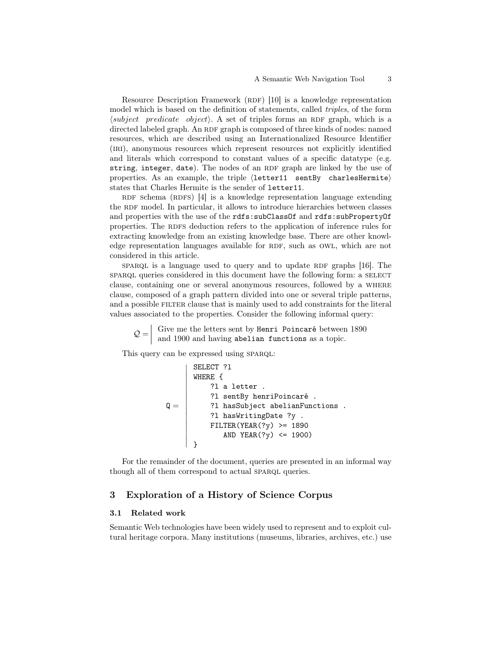Resource Description Framework  $(RDF)$  [10] is a knowledge representation model which is based on the definition of statements, called triples, of the form  $\langle subject\ predicate\ object\rangle$ . A set of triples forms an RDF graph, which is a directed labeled graph. An RDF graph is composed of three kinds of nodes: named resources, which are described using an Internationalized Resource Identifier (iri), anonymous resources which represent resources not explicitly identified and literals which correspond to constant values of a specific datatype (e.g. string, integer, date). The nodes of an RDF graph are linked by the use of properties. As an example, the triple  $\langle\text{letter11} \quad \text{sentBy} \quad \text{charlesflermite}\rangle$ states that Charles Hermite is the sender of letter11.

RDF schema (RDFS)  $[4]$  is a knowledge representation language extending the RDF model. In particular, it allows to introduce hierarchies between classes and properties with the use of the rdfs:subClassOf and rdfs:subPropertyOf properties. The RDFS deduction refers to the application of inference rules for extracting knowledge from an existing knowledge base. There are other knowledge representation languages available for RDF, such as OWL, which are not considered in this article.

sparaqueries a language used to query and to update RDF graphs  $[16]$ . The sparaqueries considered in this document have the following form: a SELECT clause, containing one or several anonymous resources, followed by a where clause, composed of a graph pattern divided into one or several triple patterns, and a possible FILTER clause that is mainly used to add constraints for the literal values associated to the properties. Consider the following informal query:

 $\mathcal{Q} = \begin{bmatrix}$  Give me the letters sent by Henri Poincaré between 1890 and 1900 and having abelian functions as a topic.

This query can be expressed using SPARQL:

```
\mathsf{Q} =\overline{\phantom{a}}\overline{\phantom{a}}\overline{\phantom{a}}

      \midSELECT ?l
          WHERE {
                 ?l a letter .
                 ?l sentBy henriPoincaré .
                 ?l hasSubject abelianFunctions .
                 ?l hasWritingDate ?y .
                 FILTER(YEAR(?y) >= 1890
                      AND YEAR(?y) <= 1900)
          }
```
For the remainder of the document, queries are presented in an informal way though all of them correspond to actual SPARQL queries.

### 3 Exploration of a History of Science Corpus

### 3.1 Related work

Semantic Web technologies have been widely used to represent and to exploit cultural heritage corpora. Many institutions (museums, libraries, archives, etc.) use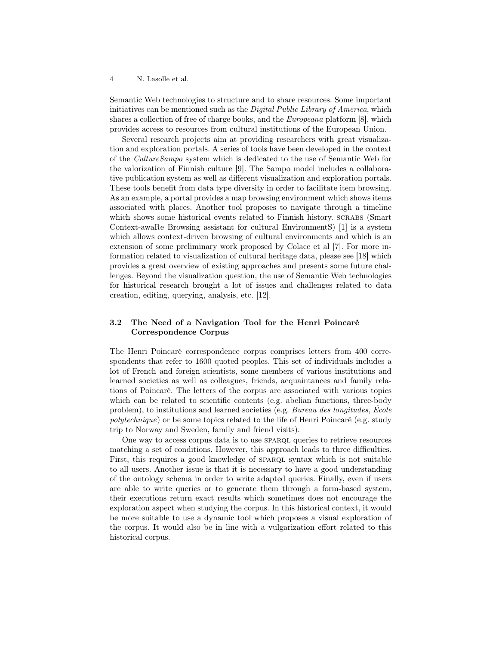Semantic Web technologies to structure and to share resources. Some important initiatives can be mentioned such as the *Digital Public Library of America*, which shares a collection of free of charge books, and the Europeana platform [8], which provides access to resources from cultural institutions of the European Union.

Several research projects aim at providing researchers with great visualization and exploration portals. A series of tools have been developed in the context of the CultureSampo system which is dedicated to the use of Semantic Web for the valorization of Finnish culture [9]. The Sampo model includes a collaborative publication system as well as different visualization and exploration portals. These tools benefit from data type diversity in order to facilitate item browsing. As an example, a portal provides a map browsing environment which shows items associated with places. Another tool proposes to navigate through a timeline which shows some historical events related to Finnish history. SCRABS (Smart Context-awaRe Browsing assistant for cultural EnvironmentS) [1] is a system which allows context-driven browsing of cultural environments and which is an extension of some preliminary work proposed by Colace et al [7]. For more information related to visualization of cultural heritage data, please see [18] which provides a great overview of existing approaches and presents some future challenges. Beyond the visualization question, the use of Semantic Web technologies for historical research brought a lot of issues and challenges related to data creation, editing, querying, analysis, etc. [12].

# 3.2 The Need of a Navigation Tool for the Henri Poincaré Correspondence Corpus

The Henri Poincaré correspondence corpus comprises letters from 400 correspondents that refer to 1600 quoted peoples. This set of individuals includes a lot of French and foreign scientists, some members of various institutions and learned societies as well as colleagues, friends, acquaintances and family relations of Poincaré. The letters of the corpus are associated with various topics which can be related to scientific contents (e.g. abelian functions, three-body problem), to institutions and learned societies (e.g. Bureau des longitudes, École polytechnique) or be some topics related to the life of Henri Poincaré (e.g. study trip to Norway and Sweden, family and friend visits).

One way to access corpus data is to use SPARQL queries to retrieve resources matching a set of conditions. However, this approach leads to three difficulties. First, this requires a good knowledge of SPARQL syntax which is not suitable to all users. Another issue is that it is necessary to have a good understanding of the ontology schema in order to write adapted queries. Finally, even if users are able to write queries or to generate them through a form-based system, their executions return exact results which sometimes does not encourage the exploration aspect when studying the corpus. In this historical context, it would be more suitable to use a dynamic tool which proposes a visual exploration of the corpus. It would also be in line with a vulgarization effort related to this historical corpus.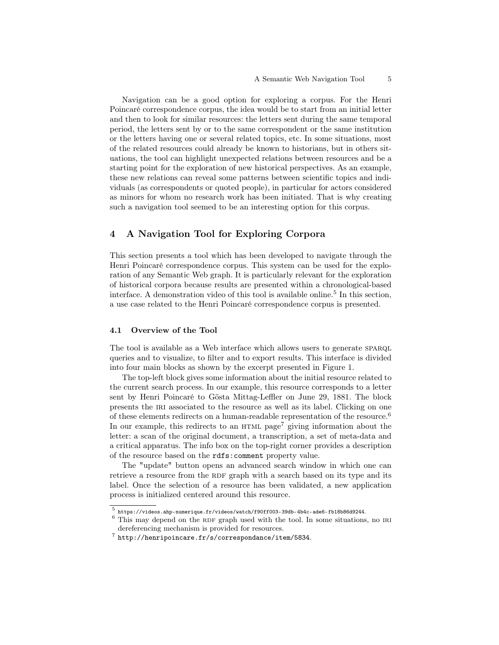Navigation can be a good option for exploring a corpus. For the Henri Poincaré correspondence corpus, the idea would be to start from an initial letter and then to look for similar resources: the letters sent during the same temporal period, the letters sent by or to the same correspondent or the same institution or the letters having one or several related topics, etc. In some situations, most of the related resources could already be known to historians, but in others situations, the tool can highlight unexpected relations between resources and be a starting point for the exploration of new historical perspectives. As an example, these new relations can reveal some patterns between scientific topics and individuals (as correspondents or quoted people), in particular for actors considered as minors for whom no research work has been initiated. That is why creating such a navigation tool seemed to be an interesting option for this corpus.

# 4 A Navigation Tool for Exploring Corpora

This section presents a tool which has been developed to navigate through the Henri Poincaré correspondence corpus. This system can be used for the exploration of any Semantic Web graph. It is particularly relevant for the exploration of historical corpora because results are presented within a chronological-based interface. A demonstration video of this tool is available online.<sup>5</sup> In this section, a use case related to the Henri Poincaré correspondence corpus is presented.

### 4.1 Overview of the Tool

The tool is available as a Web interface which allows users to generate SPARQL queries and to visualize, to filter and to export results. This interface is divided into four main blocks as shown by the excerpt presented in Figure 1.

The top-left block gives some information about the initial resource related to the current search process. In our example, this resource corresponds to a letter sent by Henri Poincaré to Gösta Mittag-Leffler on June 29, 1881. The block presents the IRI associated to the resource as well as its label. Clicking on one of these elements redirects on a human-readable representation of the resource.<sup>6</sup> In our example, this redirects to an  $HTML$  page<sup>7</sup> giving information about the letter: a scan of the original document, a transcription, a set of meta-data and a critical apparatus. The info box on the top-right corner provides a description of the resource based on the rdfs:comment property value.

The "update" button opens an advanced search window in which one can retrieve a resource from the RDF graph with a search based on its type and its label. Once the selection of a resource has been validated, a new application process is initialized centered around this resource.

<sup>5</sup> https://videos.ahp-numerique.fr/videos/watch/f90ff003-39db-4b4c-ade6-fb18b86d9244.

 $6$  This may depend on the RDF graph used with the tool. In some situations, no IRI dereferencing mechanism is provided for resources.

<sup>7</sup> http://henripoincare.fr/s/correspondance/item/5834.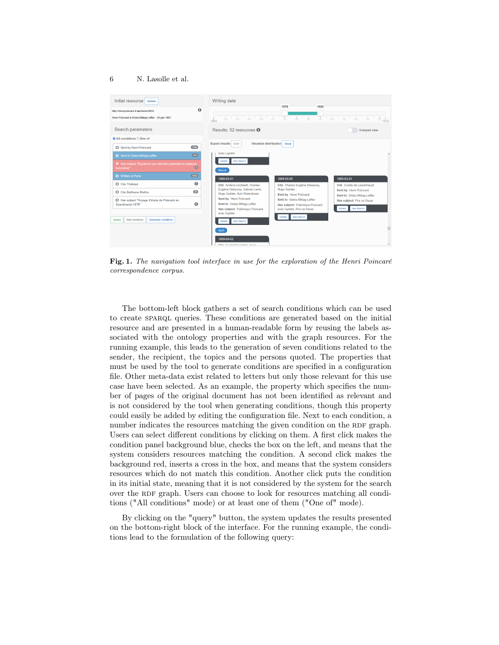

Fig. 1. The navigation tool interface in use for the exploration of the Henri Poincaré correspondence corpus.

The bottom-left block gathers a set of search conditions which can be used to create sparql queries. These conditions are generated based on the initial resource and are presented in a human-readable form by reusing the labels associated with the ontology properties and with the graph resources. For the running example, this leads to the generation of seven conditions related to the sender, the recipient, the topics and the persons quoted. The properties that must be used by the tool to generate conditions are specified in a configuration file. Other meta-data exist related to letters but only those relevant for this use case have been selected. As an example, the property which specifies the number of pages of the original document has not been identified as relevant and is not considered by the tool when generating conditions, though this property could easily be added by editing the configuration file. Next to each condition, a number indicates the resources matching the given condition on the RDF graph. Users can select different conditions by clicking on them. A first click makes the condition panel background blue, checks the box on the left, and means that the system considers resources matching the condition. A second click makes the background red, inserts a cross in the box, and means that the system considers resources which do not match this condition. Another click puts the condition in its initial state, meaning that it is not considered by the system for the search over the RDF graph. Users can choose to look for resources matching all conditions ("All conditions" mode) or at least one of them ("One of" mode).

By clicking on the "query" button, the system updates the results presented on the bottom-right block of the interface. For the running example, the conditions lead to the formulation of the following query: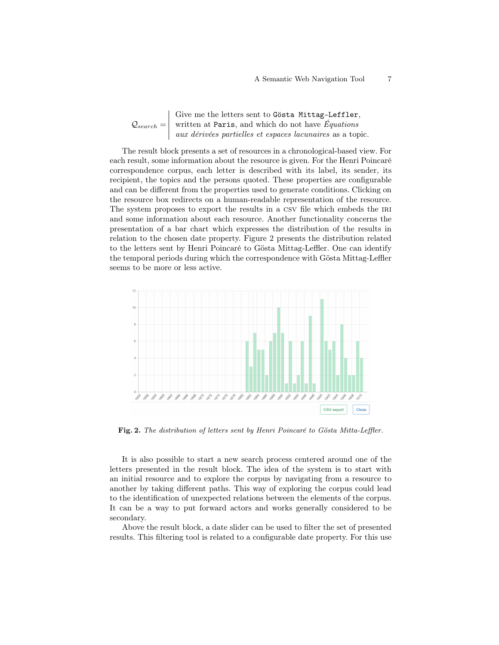$\mathcal{Q}_{search} =$ Give me the letters sent to Gösta Mittag-Leffler, written at Paris, and which do not have  $Equations$ aux dérivées partielles et espaces lacunaires as a topic.

The result block presents a set of resources in a chronological-based view. For each result, some information about the resource is given. For the Henri Poincaré correspondence corpus, each letter is described with its label, its sender, its recipient, the topics and the persons quoted. These properties are configurable and can be different from the properties used to generate conditions. Clicking on the resource box redirects on a human-readable representation of the resource. The system proposes to export the results in a CSV file which embeds the IRI and some information about each resource. Another functionality concerns the presentation of a bar chart which expresses the distribution of the results in relation to the chosen date property. Figure 2 presents the distribution related to the letters sent by Henri Poincaré to Gösta Mittag-Leffler. One can identify the temporal periods during which the correspondence with Gösta Mittag-Leffler seems to be more or less active.



Fig. 2. The distribution of letters sent by Henri Poincaré to Gösta Mitta-Leffler.

It is also possible to start a new search process centered around one of the letters presented in the result block. The idea of the system is to start with an initial resource and to explore the corpus by navigating from a resource to another by taking different paths. This way of exploring the corpus could lead to the identification of unexpected relations between the elements of the corpus. It can be a way to put forward actors and works generally considered to be secondary.

Above the result block, a date slider can be used to filter the set of presented results. This filtering tool is related to a configurable date property. For this use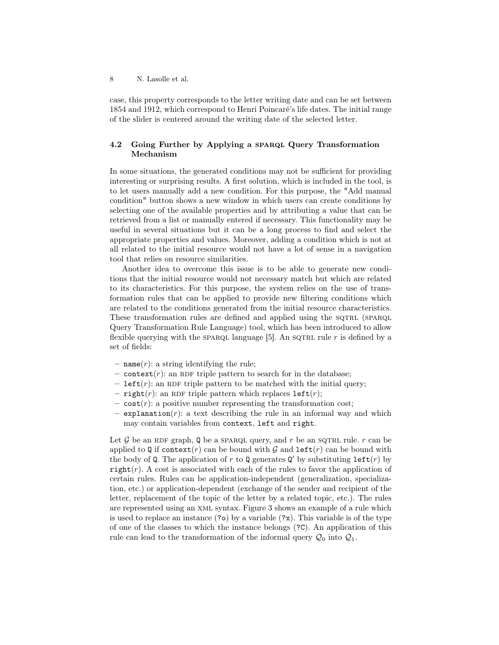case, this property corresponds to the letter writing date and can be set between 1854 and 1912, which correspond to Henri Poincaré's life dates. The initial range of the slider is centered around the writing date of the selected letter.

### 4.2 Going Further by Applying a sparaqued Query Transformation Mechanism

In some situations, the generated conditions may not be sufficient for providing interesting or surprising results. A first solution, which is included in the tool, is to let users manually add a new condition. For this purpose, the "Add manual condition" button shows a new window in which users can create conditions by selecting one of the available properties and by attributing a value that can be retrieved from a list or manually entered if necessary. This functionality may be useful in several situations but it can be a long process to find and select the appropriate properties and values. Moreover, adding a condition which is not at all related to the initial resource would not have a lot of sense in a navigation tool that relies on resource similarities.

Another idea to overcome this issue is to be able to generate new conditions that the initial resource would not necessary match but which are related to its characteristics. For this purpose, the system relies on the use of transformation rules that can be applied to provide new filtering conditions which are related to the conditions generated from the initial resource characteristics. These transformation rules are defined and applied using the SQTRL (SPARQL Query Transformation Rule Language) tool, which has been introduced to allow flexible querying with the spart language [5]. An sqtrl rule r is defined by a set of fields:

- name $(r)$ : a string identifying the rule;
- context(*r*): an RDF triple pattern to search for in the database;
- left(r): an RDF triple pattern to be matched with the initial query;
- right(r): an RDF triple pattern which replaces  $left(r\right);$
- $\sim$  cost(*r*): a positive number representing the transformation cost;
- $-$  explanation $(r)$ : a text describing the rule in an informal way and which may contain variables from context, left and right.

Let  $\mathcal G$  be an RDF graph, Q be a SPARQL query, and r be an SQTRL rule. r can be applied to Q if context(r) can be bound with G and  $\text{left}(r)$  can be bound with the body of Q. The application of r to Q generates  $\mathbf{Q}'$  by substituting left(r) by right(r). A cost is associated with each of the rules to favor the application of certain rules. Rules can be application-independent (generalization, specialization, etc.) or application-dependent (exchange of the sender and recipient of the letter, replacement of the topic of the letter by a related topic, etc.). The rules are represented using an xml syntax. Figure 3 shows an example of a rule which is used to replace an instance  $(2)$  by a variable  $(2x)$ . This variable is of the type of one of the classes to which the instance belongs (?C). An application of this rule can lead to the transformation of the informal query  $\mathcal{Q}_0$  into  $\mathcal{Q}_1$ .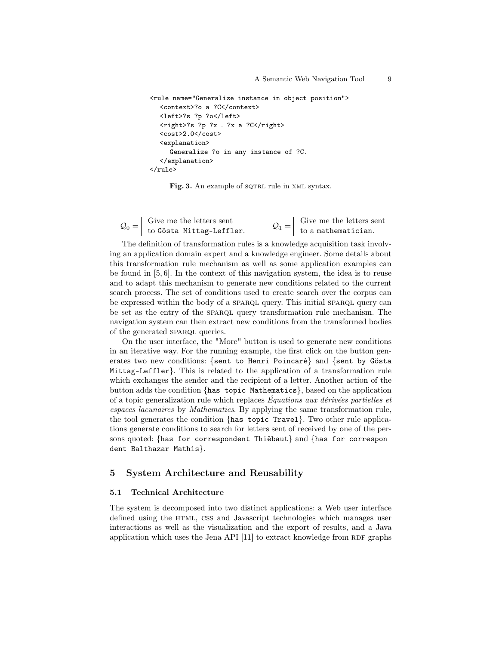```
<rule name="Generalize instance in object position">
  <context>?o a ?C</context>
  <left>?s ?p ?o</left>
  \langleright>?s ?p ?x . ?x a ?C</right>
  <cost>2.0</cost>
  <explanation>
     Generalize ?o in any instance of ?C.
  </explanation>
</rule>
```
Fig. 3. An example of sQTRL rule in XML syntax.

| $\mathcal{Q}_0 =$ | Give me the letters sent | Give me the letters sent |
|-------------------|--------------------------|--------------------------|
|                   | to Gösta Mittag-Leffler. | to a mathematician.      |

The definition of transformation rules is a knowledge acquisition task involving an application domain expert and a knowledge engineer. Some details about this transformation rule mechanism as well as some application examples can be found in [5, 6]. In the context of this navigation system, the idea is to reuse and to adapt this mechanism to generate new conditions related to the current search process. The set of conditions used to create search over the corpus can be expressed within the body of a SPARQL query. This initial SPARQL query can be set as the entry of the SPARQL query transformation rule mechanism. The navigation system can then extract new conditions from the transformed bodies of the generated SPARQL queries.

On the user interface, the "More" button is used to generate new conditions in an iterative way. For the running example, the first click on the button generates two new conditions: {sent to Henri Poincaré} and {sent by Gösta Mittag-Leffler}. This is related to the application of a transformation rule which exchanges the sender and the recipient of a letter. Another action of the button adds the condition {has topic Mathematics}, based on the application of a topic generalization rule which replaces  $Equations$  aux dérivées partielles et espaces lacunaires by Mathematics. By applying the same transformation rule, the tool generates the condition {has topic Travel}. Two other rule applications generate conditions to search for letters sent of received by one of the persons quoted: {has for correspondent Thiébaut} and {has for correspon dent Balthazar Mathis}.

### 5 System Architecture and Reusability

### 5.1 Technical Architecture

The system is decomposed into two distinct applications: a Web user interface defined using the HTML, CSS and Javascript technologies which manages user interactions as well as the visualization and the export of results, and a Java application which uses the Jena API  $[11]$  to extract knowledge from RDF graphs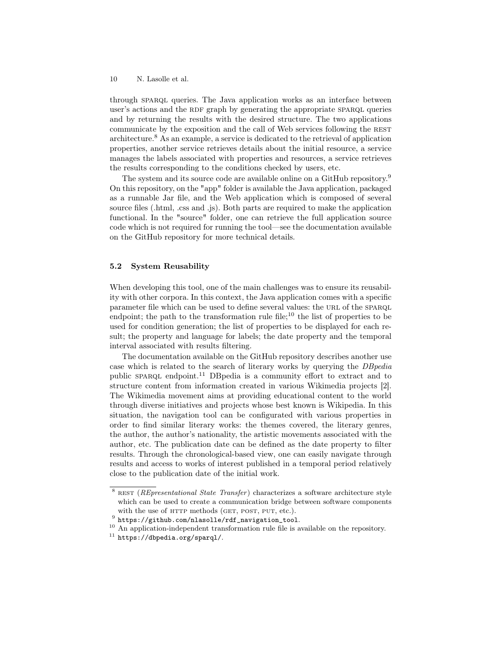through sparql queries. The Java application works as an interface between user's actions and the RDF graph by generating the appropriate SPARQL queries and by returning the results with the desired structure. The two applications communicate by the exposition and the call of Web services following the REST architecture.<sup>8</sup> As an example, a service is dedicated to the retrieval of application properties, another service retrieves details about the initial resource, a service manages the labels associated with properties and resources, a service retrieves the results corresponding to the conditions checked by users, etc.

The system and its source code are available online on a GitHub repository.<sup>9</sup> On this repository, on the "app" folder is available the Java application, packaged as a runnable Jar file, and the Web application which is composed of several source files (.html, .css and .js). Both parts are required to make the application functional. In the "source" folder, one can retrieve the full application source code which is not required for running the tool—see the documentation available on the GitHub repository for more technical details.

### 5.2 System Reusability

When developing this tool, one of the main challenges was to ensure its reusability with other corpora. In this context, the Java application comes with a specific parameter file which can be used to define several values: the url of the sparql endpoint; the path to the transformation rule file;<sup>10</sup> the list of properties to be used for condition generation; the list of properties to be displayed for each result; the property and language for labels; the date property and the temporal interval associated with results filtering.

The documentation available on the GitHub repository describes another use case which is related to the search of literary works by querying the DBpedia public SPARQL endpoint.<sup>11</sup> DBpedia is a community effort to extract and to structure content from information created in various Wikimedia projects [2]. The Wikimedia movement aims at providing educational content to the world through diverse initiatives and projects whose best known is Wikipedia. In this situation, the navigation tool can be configurated with various properties in order to find similar literary works: the themes covered, the literary genres, the author, the author's nationality, the artistic movements associated with the author, etc. The publication date can be defined as the date property to filter results. Through the chronological-based view, one can easily navigate through results and access to works of interest published in a temporal period relatively close to the publication date of the initial work.

 $8$  REST (*REpresentational State Transfer*) characterizes a software architecture style which can be used to create a communication bridge between software components with the use of HTTP methods (GET, POST, PUT, etc.).

 $^9$  https://github.com/nlasolle/rdf\_navigation\_tool.

<sup>&</sup>lt;sup>10</sup> An application-independent transformation rule file is available on the repository.

 $11$  https://dbpedia.org/sparql/.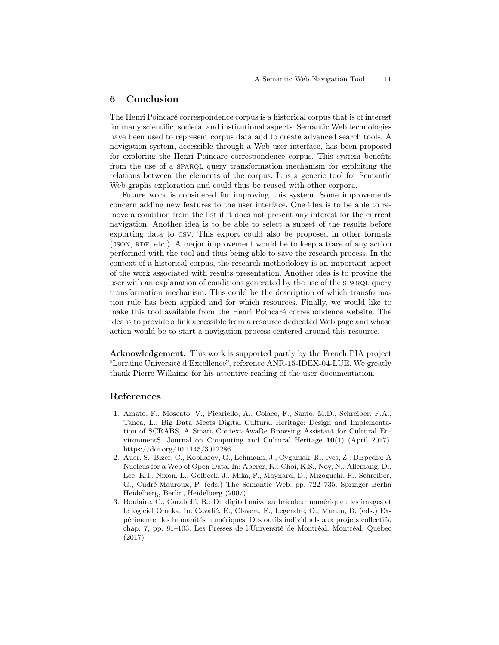# 6 Conclusion

The Henri Poincaré correspondence corpus is a historical corpus that is of interest for many scientific, societal and institutional aspects. Semantic Web technologies have been used to represent corpus data and to create advanced search tools. A navigation system, accessible through a Web user interface, has been proposed for exploring the Henri Poincaré correspondence corpus. This system benefits from the use of a SPARQL query transformation mechanism for exploiting the relations between the elements of the corpus. It is a generic tool for Semantic Web graphs exploration and could thus be reused with other corpora.

Future work is considered for improving this system. Some improvements concern adding new features to the user interface. One idea is to be able to remove a condition from the list if it does not present any interest for the current navigation. Another idea is to be able to select a subset of the results before exporting data to csv. This export could also be proposed in other formats (JSON, RDF, etc.). A major improvement would be to keep a trace of any action performed with the tool and thus being able to save the research process. In the context of a historical corpus, the research methodology is an important aspect of the work associated with results presentation. Another idea is to provide the user with an explanation of conditions generated by the use of the SPARQL query transformation mechanism. This could be the description of which transformation rule has been applied and for which resources. Finally, we would like to make this tool available from the Henri Poincaré correspondence website. The idea is to provide a link accessible from a resource dedicated Web page and whose action would be to start a navigation process centered around this resource.

Acknowledgement. This work is supported partly by the French PIA project "Lorraine Université d'Excellence", reference ANR-15-IDEX-04-LUE. We greatly thank Pierre Willaime for his attentive reading of the user documentation.

### References

- 1. Amato, F., Moscato, V., Picariello, A., Colace, F., Santo, M.D., Schreiber, F.A., Tanca, L.: Big Data Meets Digital Cultural Heritage: Design and Implementation of SCRABS, A Smart Context-AwaRe Browsing Assistant for Cultural EnvironmentS. Journal on Computing and Cultural Heritage 10(1) (April 2017). https://doi.org/10.1145/3012286
- 2. Auer, S., Bizer, C., Kobilarov, G., Lehmann, J., Cyganiak, R., Ives, Z.: DBpedia: A Nucleus for a Web of Open Data. In: Aberer, K., Choi, K.S., Noy, N., Allemang, D., Lee, K.I., Nixon, L., Golbeck, J., Mika, P., Maynard, D., Mizoguchi, R., Schreiber, G., Cudré-Mauroux, P. (eds.) The Semantic Web. pp. 722–735. Springer Berlin Heidelberg, Berlin, Heidelberg (2007)
- 3. Boulaire, C., Carabelli, R.: Du digital naive au bricoleur numérique : les images et le logiciel Omeka. In: Cavalié, É., Clavert, F., Legendre, O., Martin, D. (eds.) Expérimenter les humanités numériques. Des outils individuels aux projets collectifs, chap. 7, pp. 81–103. Les Presses de l'Université de Montréal, Montréal, Québec (2017)